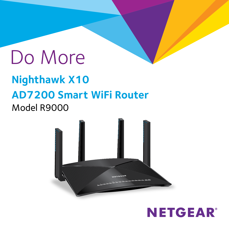# Do More **Nighthawk X10 AD7200 Smart WiFi Router** Model R9000



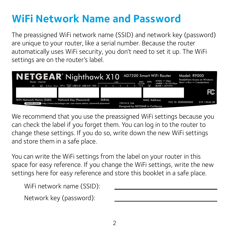### **WiFi Network Name and Password**

The preassigned WiFi network name (SSID) and network key (password) are unique to your router, like a serial number. Because the router automatically uses WiFi security, you don't need to set it up. The WiFi settings are on the router's label.



We recommend that you use the preassigned WiFi settings because you can check the label if you forget them. You can log in to the router to change these settings. If you do so, write down the new WiFi settings and store them in a safe place.

You can write the WiFi settings from the label on your router in this space for easy reference. If you change the WiFi settings, write the new settings here for easy reference and store this booklet in a safe place.

| WiFi network name (SSID): |  |
|---------------------------|--|
| Network key (password):   |  |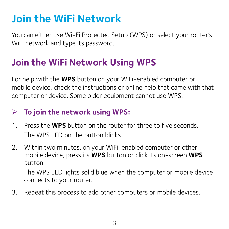### **Join the WiFi Network**

You can either use Wi-Fi Protected Setup (WPS) or select your router's WiFi network and type its password.

### **Join the WiFi Network Using WPS**

For help with the **WPS** button on your WiFi-enabled computer or mobile device, check the instructions or online help that came with that computer or device. Some older equipment cannot use WPS.

### ¾ **To join the network using WPS:**

- 1. Press the **WPS** button on the router for three to five seconds. The WPS LED on the button blinks.
- 2. Within two minutes, on your WiFi-enabled computer or other mobile device, press its **WPS** button or click its on-screen **WPS** button.

The WPS LED lights solid blue when the computer or mobile device connects to your router.

3. Repeat this process to add other computers or mobile devices.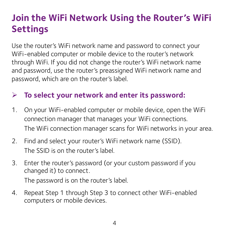### **Join the WiFi Network Using the Router's WiFi Settings**

Use the router's WiFi network name and password to connect your WiFi-enabled computer or mobile device to the router's network through WiFi. If you did not change the router's WiFi network name and password, use the router's preassigned WiFi network name and password, which are on the router's label.

### ¾ **To select your network and enter its password:**

- 1. On your WiFi-enabled computer or mobile device, open the WiFi connection manager that manages your WiFi connections. The WiFi connection manager scans for WiFi networks in your area.
- 2. Find and select your router's WiFi network name (SSID). The SSID is on the router's label.
- 3. Enter the router's password (or your custom password if you changed it) to connect. The password is on the router's label.
- 4. Repeat Step 1 through Step 3 to connect other WiFi-enabled computers or mobile devices.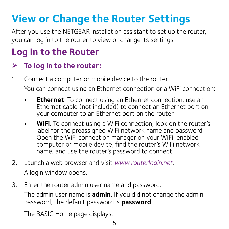## **View or Change the Router Settings**

After you use the NETGEAR installation assistant to set up the router, you can log in to the router to view or change its settings.

### **Log In to the Router**

### ¾ **To log in to the router:**

1. Connect a computer or mobile device to the router.

You can connect using an Ethernet connection or a WiFi connection:

- **• Ethernet**. To connect using an Ethernet connection, use an Ethernet cable (not included) to connect an Ethernet port on your computer to an Ethernet port on the router.
- **• WiFi**. To connect using a WiFi connection, look on the router's label for the preassigned WiFi network name and password. Open the WiFi connection manager on your WiFi-enabled computer or mobile device, find the router's WiFi network name, and use the router's password to connect.
- 2. Launch a web browser and visit *[www.routerlogin.net](http://www.routerlogin.net)*. A login window opens.
- 3. Enter the router admin user name and password.

The admin user name is **admin**. If you did not change the admin password, the default password is **password**.

The BASIC Home page displays.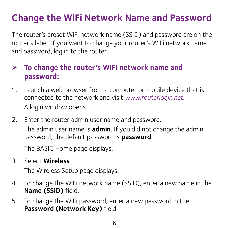### **Change the WiFi Network Name and Password**

The router's preset WiFi network name (SSID) and password are on the router's label. If you want to change your router's WiFi network name and password, log in to the router.

#### ¾ **To change the router's WiFi network name and password:**

- 1. Launch a web browser from a computer or mobile device that is connected to the network and visit *[www.routerlogin.net](http://www.routerlogin.net)*. A login window opens.
- 2. Enter the router admin user name and password. The admin user name is **admin**. If you did not change the admin password, the default password is **password**.

The BASIC Home page displays.

3. Select **Wireless**.

The Wireless Setup page displays.

- 4. To change the WiFi network name (SSID), enter a new name in the **Name (SSID)** field.
- 5. To change the WiFi password, enter a new password in the **Password (Network Key)** field.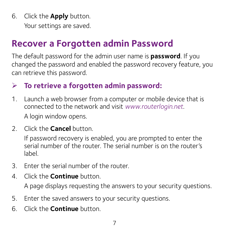6. Click the **Apply** button. Your settings are saved.

### **Recover a Forgotten admin Password**

The default password for the admin user name is **password**. If you changed the password and enabled the password recovery feature, you can retrieve this password.

### ¾ **To retrieve a forgotten admin password:**

- 1. Launch a web browser from a computer or mobile device that is connected to the network and visit *[www.routerlogin.net](http://www.routerlogin.net)*. A login window opens.
- 2. Click the **Cancel** button.

If password recovery is enabled, you are prompted to enter the serial number of the router. The serial number is on the router's label.

- 3. Enter the serial number of the router.
- 4. Click the **Continue** button.

A page displays requesting the answers to your security questions.

- 5. Enter the saved answers to your security questions.
- 6. Click the **Continue** button.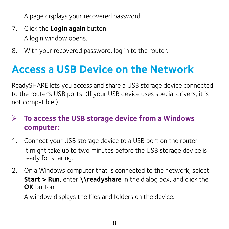A page displays your recovered password.

- 7. Click the **Login again** button. A login window opens.
- 8. With your recovered password, log in to the router.

### **Access a USB Device on the Network**

ReadySHARE lets you access and share a USB storage device connected to the router's USB ports. (If your USB device uses special drivers, it is not compatible.)

### ¾ **To access the USB storage device from a Windows computer:**

- 1. Connect your USB storage device to a USB port on the router. It might take up to two minutes before the USB storage device is ready for sharing.
- 2. On a Windows computer that is connected to the network, select **Start > Run**, enter **\\readyshare** in the dialog box, and click the **OK** button.

A window displays the files and folders on the device.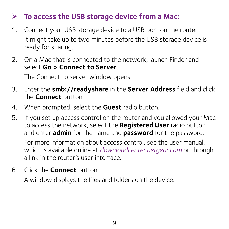#### ¾ **To access the USB storage device from a Mac:**

- 1. Connect your USB storage device to a USB port on the router. It might take up to two minutes before the USB storage device is ready for sharing.
- 2. On a Mac that is connected to the network, launch Finder and select **Go > Connect to Server**.

The Connect to server window opens.

- 3. Enter the **smb://readyshare** in the **Server Address** field and click the **Connect** button.
- 4. When prompted, select the **Guest** radio button.
- 5. If you set up access control on the router and you allowed your Mac to access the network, select the **Registered User** radio button and enter **admin** for the name and **password** for the password.

For more information about access control, see the user manual, which is available online at *[downloadcenter.netgear.com](http://downloadcenter.netgear.com)* or through a link in the router's user interface.

6. Click the **Connect** button.

A window displays the files and folders on the device.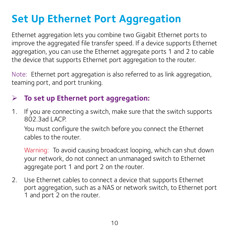## **Set Up Ethernet Port Aggregation**

Ethernet aggregation lets you combine two Gigabit Ethernet ports to improve the aggregated file transfer speed. If a device supports Ethernet aggregation, you can use the Ethernet aggregate ports 1 and 2 to cable the device that supports Ethernet port aggregation to the router.

Note: Ethernet port aggregation is also referred to as link aggregation, teaming port, and port trunking.

#### ¾ **To set up Ethernet port aggregation:**

1. If you are connecting a switch, make sure that the switch supports 802.3ad LACP.

You must configure the switch before you connect the Ethernet cables to the router.

Warning: To avoid causing broadcast looping, which can shut down your network, do not connect an unmanaged switch to Ethernet aggregate port 1 and port 2 on the router.

2. Use Ethernet cables to connect a device that supports Ethernet port aggregation, such as a NAS or network switch, to Ethernet port 1 and port 2 on the router.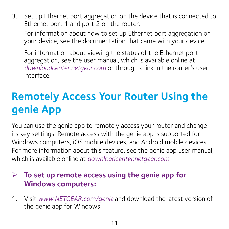3. Set up Ethernet port aggregation on the device that is connected to Ethernet port 1 and port 2 on the router.

For information about how to set up Ethernet port aggregation on your device, see the documentation that came with your device.

For information about viewing the status of the Ethernet port aggregation, see the user manual, which is available online at *[downloadcenter.netgear.com](http://downloadcenter.netgear.com)* or through a link in the router's user interface.

## **Remotely Access Your Router Using the genie App**

You can use the genie app to remotely access your router and change its key settings. Remote access with the genie app is supported for Windows computers, iOS mobile devices, and Android mobile devices. For more information about this feature, see the genie app user manual, which is available online at *[downloadcenter.netgear.com](http://downloadcenter.netgear.com)*.

#### ¾ **To set up remote access using the genie app for Windows computers:**

1. Visit *[www.NETGEAR.com/genie](http://www.NETGEAR.com/genie)* and download the latest version of the genie app for Windows.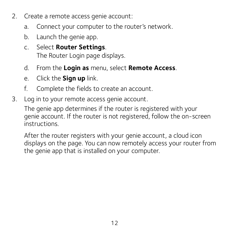- 2. Create a remote access genie account:
	- a. Connect your computer to the router's network.
	- b. Launch the genie app.
	- c. Select **Router Settings**. The Router Login page displays.
	- d. From the **Login as** menu, select **Remote Access**.
	- e. Click the **Sign up** link.
	- f. Complete the fields to create an account.
- 3. Log in to your remote access genie account.

The genie app determines if the router is registered with your genie account. If the router is not registered, follow the on-screen instructions.

After the router registers with your genie account, a cloud icon displays on the page. You can now remotely access your router from the genie app that is installed on your computer.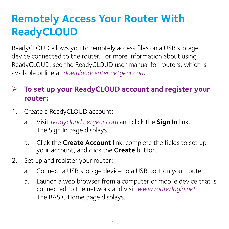### **Remotely Access Your Router With ReadyCLOUD**

ReadyCLOUD allows you to remotely access files on a USB storage device connected to the router. For more information about using ReadyCLOUD, see the ReadyCLOUD user manual for routers, which is available online at *[downloadcenter.netgear.com](http://downloadcenter.netgear.com)*.

### ¾ **To set up your ReadyCLOUD account and register your router:**

- 1. Create a ReadyCLOUD account:
	- a. Visit *[readycloud.netgear.com](http://readycloud.netgear.com)* and click the **Sign In** link. The Sign In page displays.
	- b. Click the **Create Account** link, complete the fields to set up your account, and click the **Create** button.
- 2. Set up and register your router:
	- a. Connect a USB storage device to a USB port on your router.
	- b. Launch a web browser from a computer or mobile device that is connected to the network and visit *[www.routerlogin.net](http://www.routerlogin.net)*. The BASIC Home page displays.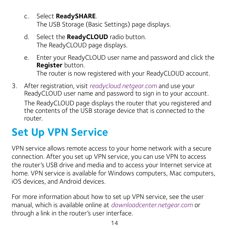- c. Select **ReadySHARE**. The USB Storage (Basic Settings) page displays.
- d. Select the **ReadyCLOUD** radio button. The ReadyCLOUD page displays.
- e. Enter your ReadyCLOUD user name and password and click the **Register** button. The router is now registered with your ReadyCLOUD account.
- 3. After registration, visit *[readycloud.netgear.com](http://readycloud.netgear.com)* and use your ReadyCLOUD user name and password to sign in to your account. The ReadyCLOUD page displays the router that you registered and the contents of the USB storage device that is connected to the router.

## **Set Up VPN Service**

VPN service allows remote access to your home network with a secure connection. After you set up VPN service, you can use VPN to access the router's USB drive and media and to access your Internet service at home. VPN service is available for Windows computers, Mac computers, iOS devices, and Android devices.

For more information about how to set up VPN service, see the user manual, which is available online at *[downloadcenter.netgear.com](http://downloadcenter.netgear.com)* or through a link in the router's user interface.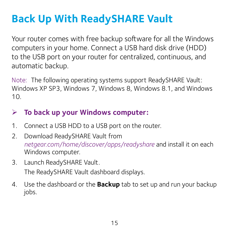## **Back Up With ReadySHARE Vault**

Your router comes with free backup software for all the Windows computers in your home. Connect a USB hard disk drive (HDD) to the USB port on your router for centralized, continuous, and automatic backup.

Note: The following operating systems support ReadySHARE Vault: Windows XP SP3, Windows 7, Windows 8, Windows 8.1, and Windows 10.

### ¾ **To back up your Windows computer:**

- 1. Connect a USB HDD to a USB port on the router.
- 2. Download ReadySHARE Vault from *[netgear.com/home/discover/apps/readyshare](https://www.netgear.com/home/discover/apps/readyshare)* and install it on each Windows computer.

#### 3. Launch ReadySHARE Vault. The ReadySHARE Vault dashboard displays.

4. Use the dashboard or the **Backup** tab to set up and run your backup jobs.